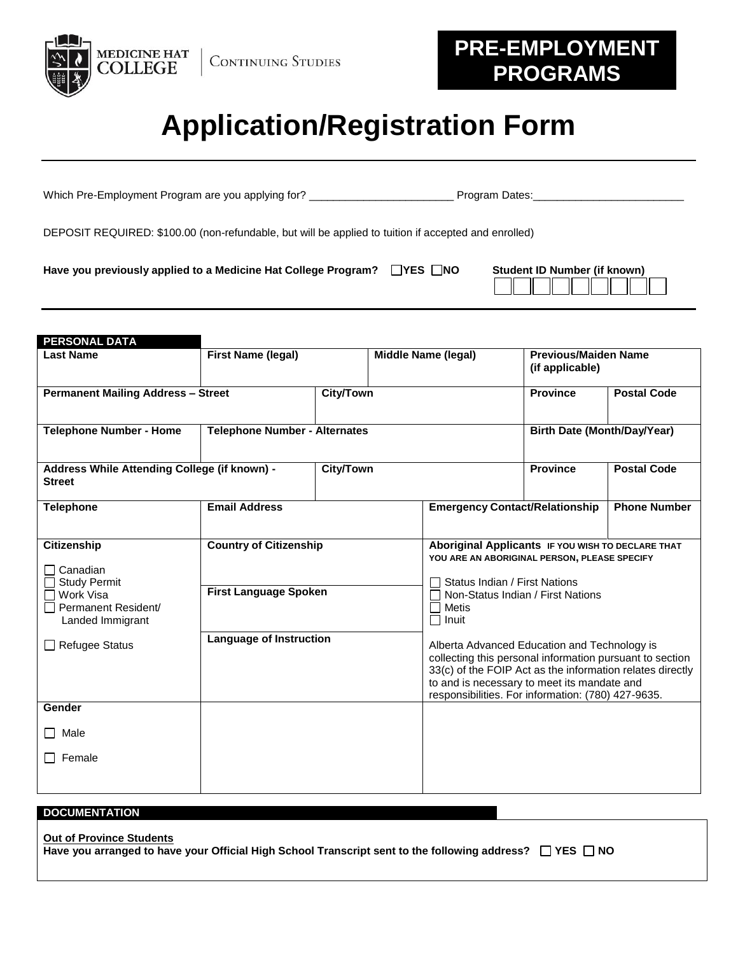

## **PRE-EMPLOYMENT PROGRAMS**

## **Application/Registration Form**

| Have you previously applied to a Medicine Hat College Program?                                       | $ YES $ No | Student ID Number (if known) |  |  |  |  |  |
|------------------------------------------------------------------------------------------------------|------------|------------------------------|--|--|--|--|--|
| DEPOSIT REQUIRED: \$100.00 (non-refundable, but will be applied to tuition if accepted and enrolled) |            |                              |  |  |  |  |  |
| Which Pre-Employment Program are you applying for?                                                   |            | Program Dates:               |  |  |  |  |  |

| <b>PERSONAL DATA</b>                                                                                                                                            |                                                                                                 |                                      |                            |                                                                                                                                                                                                                                                                                                                                                                                                                                                       |                     |  |
|-----------------------------------------------------------------------------------------------------------------------------------------------------------------|-------------------------------------------------------------------------------------------------|--------------------------------------|----------------------------|-------------------------------------------------------------------------------------------------------------------------------------------------------------------------------------------------------------------------------------------------------------------------------------------------------------------------------------------------------------------------------------------------------------------------------------------------------|---------------------|--|
| <b>Last Name</b>                                                                                                                                                | <b>First Name (legal)</b>                                                                       |                                      | <b>Middle Name (legal)</b> | <b>Previous/Maiden Name</b><br>(if applicable)                                                                                                                                                                                                                                                                                                                                                                                                        |                     |  |
| <b>Permanent Mailing Address - Street</b>                                                                                                                       |                                                                                                 | <b>City/Town</b>                     |                            | <b>Province</b>                                                                                                                                                                                                                                                                                                                                                                                                                                       | <b>Postal Code</b>  |  |
| <b>Telephone Number - Home</b>                                                                                                                                  |                                                                                                 | <b>Telephone Number - Alternates</b> |                            | <b>Birth Date (Month/Day/Year)</b>                                                                                                                                                                                                                                                                                                                                                                                                                    |                     |  |
| Address While Attending College (if known) -<br><b>Street</b>                                                                                                   |                                                                                                 | <b>City/Town</b>                     |                            | <b>Province</b>                                                                                                                                                                                                                                                                                                                                                                                                                                       | <b>Postal Code</b>  |  |
| <b>Telephone</b>                                                                                                                                                | <b>Email Address</b>                                                                            |                                      |                            | <b>Emergency Contact/Relationship</b>                                                                                                                                                                                                                                                                                                                                                                                                                 | <b>Phone Number</b> |  |
| <b>Citizenship</b><br>Canadian<br><b>Study Permit</b><br>Work Visa<br>Permanent Resident/<br>Landed Immigrant<br><b>Refugee Status</b><br>Gender<br>$\Box$ Male | <b>Country of Citizenship</b><br><b>First Language Spoken</b><br><b>Language of Instruction</b> |                                      | Metis<br>Inuit             | Aboriginal Applicants IF YOU WISH TO DECLARE THAT<br>YOU ARE AN ABORIGINAL PERSON, PLEASE SPECIFY<br>Status Indian / First Nations<br>Non-Status Indian / First Nations<br>Alberta Advanced Education and Technology is<br>collecting this personal information pursuant to section<br>33(c) of the FOIP Act as the information relates directly<br>to and is necessary to meet its mandate and<br>responsibilities. For information: (780) 427-9635. |                     |  |
| $\Box$ Female                                                                                                                                                   |                                                                                                 |                                      |                            |                                                                                                                                                                                                                                                                                                                                                                                                                                                       |                     |  |

## **DOCUMENTATION**

| <b>Out of Province Students</b>                                                                                    |  |
|--------------------------------------------------------------------------------------------------------------------|--|
| Have you arranged to have your Official High School Transcript sent to the following address? $\Box$ YES $\Box$ NO |  |